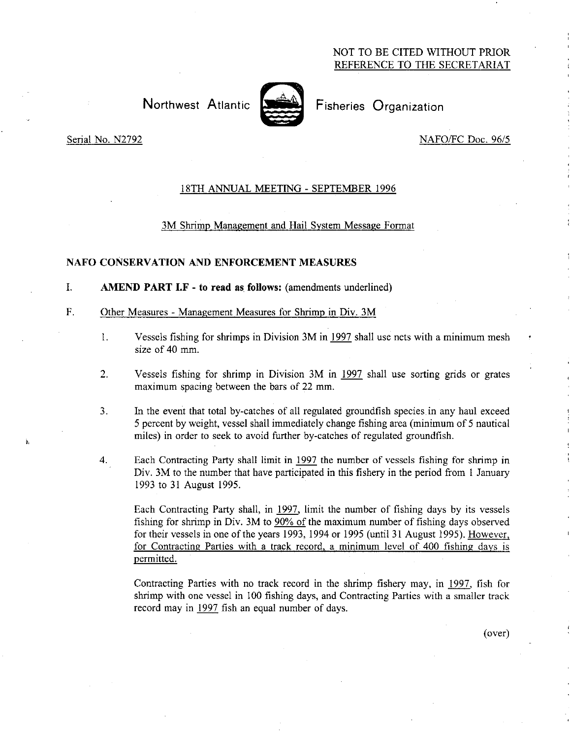# NOT TO BE CITED WITHOUT PRIOR REFERENCE TO THE SECRETARIAT

Northwest Atlantic **Notifiantly** Fisheries Organization



à.

Serial No. N2792 NAFO/FC Doc. 96/5

# 18TH ANNUAL MEETING - SEPTEMBER 1996

#### 3M Shrimp Management and Hail System Message Format

### NAFO CONSERVATION AND ENFORCEMENT MEASURES

 $\mathbf{I}$ . AMEND PART I.F - to read as follows: (amendments underlined)

#### F. Other Measures - Management Measures for Shrimp in Div. 3M

- 1. Vessels fishing for shrimps in Division 3M in 1997 shall use nets with a minimum mesh size of 40 mm.
- 2. Vessels fishing for shrimp in Division 3M in 1997 shall use sorting grids or grates maximum spacing between the bars of 22 mm.
- 3. In the event that total by-catches of all regulated groundfish species in any haul exceed 5 percent by weight, vessel shall immediately change fishing area (minimum of 5 nautical miles) in order to seek to avoid further by-catches of regulated groundfish.
- 4. Each Contracting Party shall limit in 1997 the number of vessels fishing for shrimp in Div. 3M to the number that have participated in this fishery in the period from 1 January 1993 to 31 August 1995.

Each Contracting Party shall, in 1997, limit the number of fishing days by its vessels fishing for shrimp in Div. 3M to 90% of the maximum number of fishing days observed for their vessels in one of the years 1993, 1994 or 1995 (until 31 August 1995). However, for Contracting Parties with a track record, a minimum level of. 400 fishing days is permitted.

Contracting Parties with no track record in the shrimp fishery may, in 1997, fish for shrimp with one vessel in 100 fishing days, and Contracting Parties with a smaller track record may in 1997 fish an equal number of days.

(over)